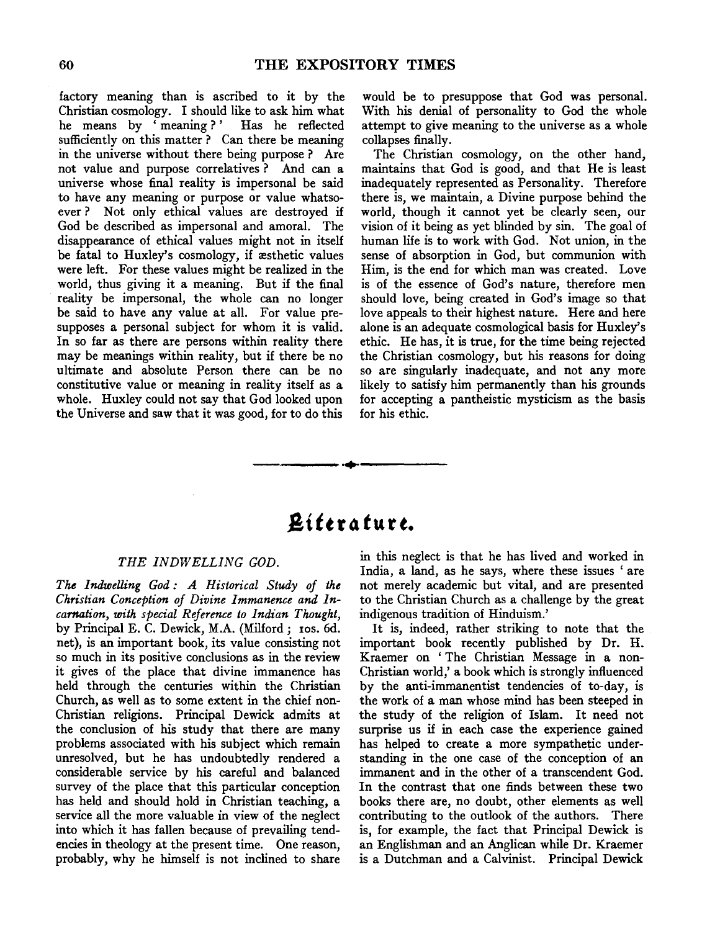factory meaning than is ascribed to it by the Christian cosmology. I should like to ask him what he means by 'meaning?' Has he reflected sufficiently on this matter? Can there be meaning in the universe without there being purpose ? Are not value and purpose correlatives ? And can a universe whose final reality is impersonal be said to have any meaning or purpose or value whatsoever ? Not only ethical values are destroyed if God be described as impersonal and amoral. The disappearance of ethical values might not in itself be fatal to Huxley's cosmology, if æsthetic values were left. For these values might be realized in the world, thus giving it a meaning. But if the final reality be impersonal, the whole can no longer be said to have any value at all. For value presupposes a personal subject for whom it is valid. In so far as there are persons within reality there may be meanings within reality, but if there be no ultimate and absolute Person there can be no constitutive value or meaning in reality itself as a whole. Huxley could not say that God looked upon the Universe and saw that it was good, for to do this

would be to presuppose that God was personal. With his denial of personality to God the whole attempt to give meaning to the universe as a whole collapses finally.

The Christian cosmology, on the other hand, maintains that God is good, and that He is least inadequately represented as Personality. Therefore there is, we maintain, a Divine purpose behind the world, though it cannot yet be clearly seen, our vision of it being as yet blinded by sin. The goal of human life is to work with God. Not union, in the sense of absorption in God, but communion with Him, is the end for which man was created. Love is of the essence of God's nature, therefore men should love, being created in God's image so that love appeals to their highest nature. Here and here alone is an adequate cosmological basis for Huxley's ethic. He has, it is true, for the time being rejected the Christian cosmology, but his reasons for doing so are singularly inadequate, and not any more likely to satisfy him permanently than his grounds for accepting a pantheistic mysticism as the basis for his ethic.

# *8ittra* **turt.**

-------·~-----------

#### *THE INDWELLING GOD.*

*The Indwelling God: A Historical Study of the Christian Conception of Divine Immanence and Incarnation, with special Reference to Indian Thought,*  by Principal E. C. Dewick, M.A. (Milford ; 1os. 6d. net), is an important book, its value consisting not so much in its positive conclusions as in the review it gives of the place that divine immanence has held through the centuries within the Christian Church, as well as to some extent in the chief non-Christian religions. Principal Dewick admits at the conclusion of his study that there are many problems associated with his subject which remain unresolved, but he has undoubtedly rendered a considerable service by his careful and balanced survey of the place that this particular conception has held and should hold in Christian teaching, a service all the more valuable in view of the neglect into which it has fallen because of prevailing tendencies in theology at the present time. One reason, probably, why he himself is not inclined to share

in this neglect is that he has lived and worked in India, a land, as he says, where these issues 'are not merely academic but vital, and are presented to the Christian Church as a challenge by the great indigenous tradition of Hinduism.'

It is, indeed, rather striking to note that the important book recently published by Dr. H. Kraemer on ' The Christian Message in a non-Christian world,' a book which is strongly influenced by the anti-immanentist tendencies of to-day, is the work of a man whose mind has been steeped in the study of the religion of Islam. It need not surprise us if in each case the experience gained has helped to create a more sympathetic understanding in the one case of the conception of an immanent and in the other of a transcendent God. In the contrast that one finds between these two books there are, no doubt, other elements as well contributing to the outlook of the authors. There is, for example, the fact that Principal Dewick is an Englishman and an Anglican while Dr. Kraemer is a Dutchman and a Calvinist. Principal Dewick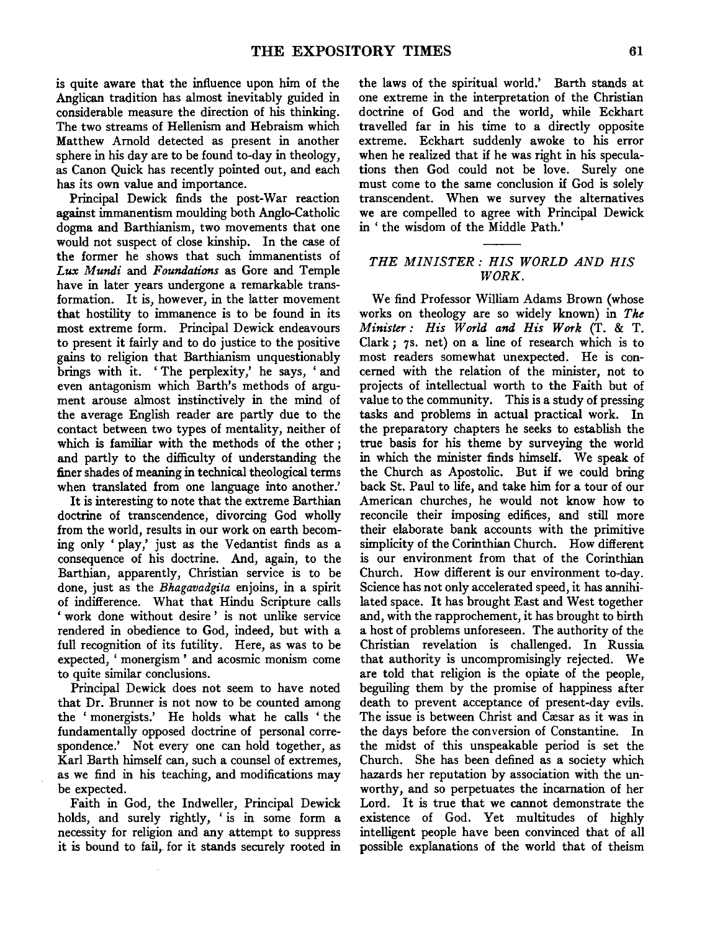is quite aware that the influence upon him of the Anglican tradition has almost inevitably guided in considerable measure the direction of his thinking. The two streams of Hellenism and Hebraism which Matthew Arnold detected as present in another sphere in his day are to be found to-day in theology, as Canon Quick has recently pointed out, and each has its own value and importance.

Principal Dewick finds the post-War reaction against immanentism moulding both Anglo-Catholic dogma and Barthianism, two movements that one would not suspect of close kinship. In the case of the former he shows that such immanentists of *Lux Mundi* and *Foundations* as Gore and Temple have in later years undergone a remarkable transformation. It is, however, in the latter movement that hostility to immanence is to be found in its most extreme form. Principal Dewick endeavours to present it fairly and to do justice to the positive gains to religion that Barthianism unquestionably brings with it. 'The perplexity,' he says, 'and even antagonism which Barth's methods of argument arouse almost instinctively in the mind of the average English reader are partly due to the contact between two types of mentality, neither of which is familiar with the methods of the other ; and partly to the difficulty of understanding the finer shades of meaning in technical theological terms when translated from one language into another.'

It is interesting to note that the extreme Barthian doctrine of transcendence, divorcing God wholly from the world, results in our work on earth becoming only 'play,' just as the Vedantist finds as a consequence of his doctrine. And, again, to the Barthian, apparently, Christian service is to be done, just as the *Bhagavadgita* enjoins, in a spirit of indifference. What that Hindu Scripture calls ' work done without desire ' is not unlike service rendered in obedience to God, indeed, but with a full recognition of its futility. Here, as was to be expected, 'monergism' and acosmic monism come to quite similar conclusions.

Principal Dewick does not seem to have noted that Dr. Brunner is not now to be counted among the ' monergists.' He holds what he calls ' the fundamentally opposed doctrine of personal correspondence.' Not every one can hold together, as Karl Barth himself can, such a counsel of extremes, as we find in his teaching, and modifications may be expected.

Faith in God, the Indweller, Principal Dewick holds, and surely rightly, ' is in some form a necessity for religion and any attempt to suppress it is bound to fail, for it stands securely rooted in the laws of the spiritual world.' Barth stands at one extreme in the interpretation of the Christian doctrine of God and the world, while Eckhart travelled far in his time to a directly opposite extreme. Eckhart suddenly awoke to his error when he realized that if he was right in his speculations then God could not be love. Surely one must come to the same conclusion if God is solely transcendent. When we survey the alternatives we are compelled to agree with Principal Dewick in ' the wisdom of the Middle Path.'

#### *THE MINISTER: HIS WORLD AND HIS WORK.*

We find Professor William Adams Brown (whose works on theology are so widely known) in *The Minister: His World and His Work* (T. & T. Clark; 7s. net) on a line of research which is to most readers somewhat unexpected. He is concerned with the relation of the minister, not to projects of intellectual worth to the Faith but of value to the community. This is a study of pressing tasks and problems in actual practical work. In the preparatory chapters he seeks to establish the true basis for his theme by surveying the world in which the minister finds himself. We speak of the Church as Apostolic. But if we could bring back St. Paul to life, and take him for a tour of our American churches, he would not know how to reconcile their imposing edifices, and still more their elaborate bank accounts with the primitive simplicity of the Corinthian Church. How different is our environment from that of the Corinthian Church. How different is our environment to-day. Science has not only accelerated speed, it has annihilated space. It has brought East and West together and, with the rapprochement, it has brought to birth a host of problems unforeseen. The authority of the Christian revelation is challenged. In Russia that authority is uncompromisingly rejected. We are told that religion is the opiate of the people, beguiling them by the promise of happiness after death to prevent acceptance of present-day evils. The issue is between Christ and Cæsar as it was in the days before the conversion of Constantine. In the midst of this unspeakable period is set the Church. She has been defined as a society which hazards her reputation by association with the unworthy, and so perpetuates the incarnation of her Lord. It is true that we cannot demonstrate the existence of God. Yet multitudes of highly intelligent people have been convinced that of all possible explanations of the world that of theism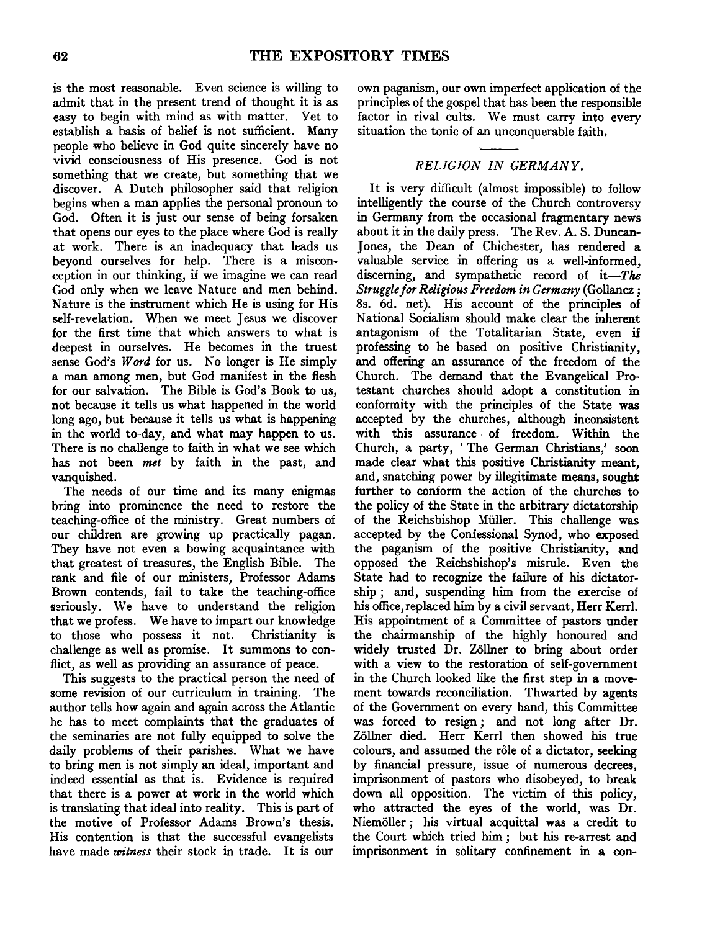is the most reasonable. Even science is willing to admit that in the present trend of thought it is as easy to begin with mind as with matter. Yet to establish a basis of belief is not sufficient. Many people who believe in God quite sincerely have no vivid consciousness of His presence. God is not something that we create, but something that we discover. A Dutch philosopher said that religion begins when a man applies the personal pronoun to God. Often it is just our sense of being forsaken that opens our eyes to the place where God is really at work. There is an inadequacy that leads us beyond ourselves for help. There is a misconception in our thinking, if we imagine we can read God only when we leave Nature and men behind. Nature is the instrument which He is using for His self-revelation. When we meet Jesus we discover for the first time that which answers to what is deepest in ourselves. He becomes in the truest sense God's Word for us. No longer is He simply a man among men, but God manifest in the flesh for our salvation. The Bible is God's Book to us, not because it tells us what happened in the world long ago, but because it tells us what is happening in the world to-day, and what may happen to us. There is no challenge to faith in what we see which has not been *met* by faith in the past, and vanquished.

The needs of our time and its many enigmas bring into prominence the need to restore the teaching-office of the ministry. Great numbers of our children are growing up practically pagan. They have not even a bowing acquaintance with that greatest of treasures, the English Bible. The rank and file of our ministers, Professor Adams Brown contends, fail to take the teaching-office seriously. We have to understand the religion that we profess. We have to impart our knowledge to those who possess it not. Christianity is challenge as well as promise. It summons to conflict, as well as providing an assurance of peace.

This suggests to the practical person the need of some revision of our curriculum in training. The author tells how again and again across the Atlantic he has to meet complaints that the graduates of the seminaries are not fully equipped to solve the daily problems of their parishes. What we have to bring men is not simply an ideal, important and indeed essential as that is. Evidence is required that there is a power at work in the world which is translating that ideal into reality. This is part of the motive of Professor Adams Brown's thesis. His contention is that the successful evangelists have made *witness* their stock in trade. It is our

own paganism, our own imperfect application of the principles of the gospel that has been the responsible factor in rival cults. We must carry into every situation the tonic of an unconquerable faith.

# *RELIGION IN GERMANY.*

It is very difficult (almost impossible) to follow intelligently the course of the Church controversy in Germany from the occasional fragmentary news about it in the daily press. The Rev. A. S. Duncan-Jones, the Dean of Chichester, has rendered a valuable service in offering us a well-informed, discerning, and sympathetic record of  $it$ -The *Struggle for Religious Freedom in Germany* (Gollancz ; 8s. 6d. net). His account of the principles of National Socialism should make clear the inherent antagonism of the Totalitarian State, even if professing to be based on positive Christianity, and offering an assurance of the freedom of the Church. The demand that the Evangelical Protestant churches should adopt a constitution in conformity with the principles of the State was accepted by the churches, although inconsistent with this assurance of freedom. Within the Church, a party, ' The German Christians,' soon made clear what this positive Christianity meant, and, snatching power by illegitimate means, sought further to conform the action of the churches to the policy of the State in the arbitrary dictatorship of the Reichsbishop Miiller. This challenge was accepted by the Confessional Synod, who exposed the paganism of the positive Christianity, and opposed the Reichsbishop's misrule. Even the State had to recognize the failure of his dictatorship; and, suspending him from the exercise of his office, replaced him by a civil servant, Herr Kerrl. His appointment of a Committee of pastors under the chairmanship of the highly honoured and widely trusted Dr. Zöllner to bring about order with a view to the restoration of self-government in the Church looked like the first step in a movement towards reconciliation. Thwarted by agents of the Government on every hand, this Committee was forced to resign; and not long after Dr. Zöllner died. Herr Kerrl then showed his true colours, and assumed the rôle of a dictator, seeking by financial pressure, issue of numerous decrees, imprisonment of pastors who disobeyed, to break down all opposition. The victim of this policy, who attracted the eyes of the world, was Dr. Niemoller; his virtual acquittal was a credit to the Court which tried him ; but his re-arrest and imprisonment in solitary confinement in a con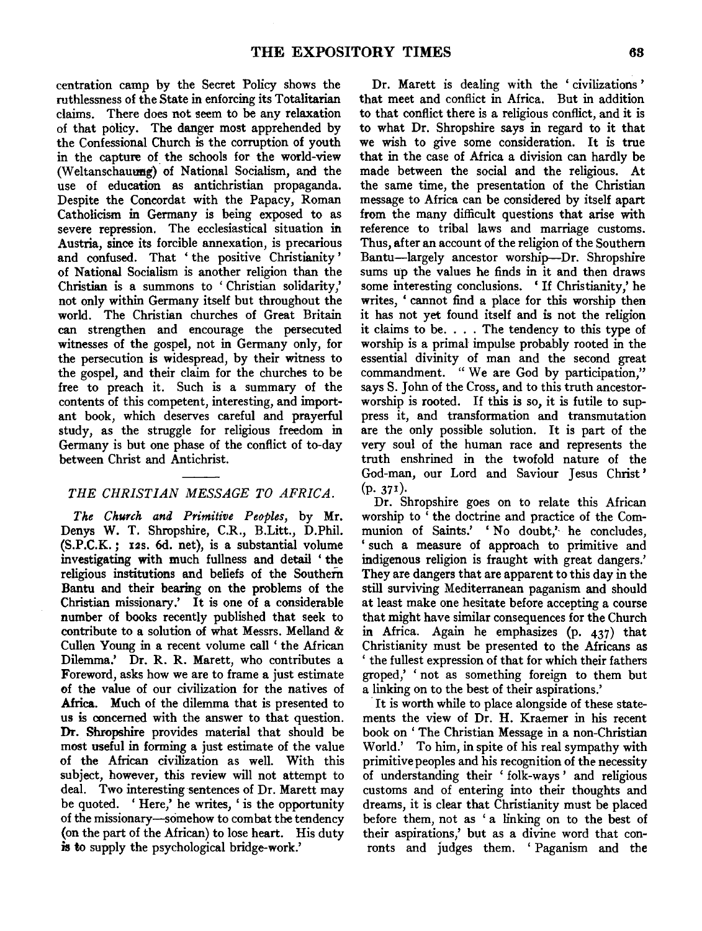centration camp by the Secret Policy shows the ruthlessness of the State in enforcing its Totalitarian claims. There does not seem to be any relaxation of that policy. The danger most apprehended by the Confessional Church is the corruption of youth in the capture of the schools for the world-view (Weltanschauung) of National Socialism, and the use of education as antichristian propaganda. Despite the Concordat with the Papacy, Roman Catholicism in Germany is being exposed to as severe repression. The ecclesiastical situation in Austria, since its forcible annexation, is precarious and confused. That 'the positive Christianity' of National Socialism is another religion than the Christian is a summons to ' Christian solidarity,' not only within Germany itself but throughout the world. The Christian churches of Great Britain can strengthen and encourage the persecuted witnesses of the gospel, not in Germany only, for the persecution is widespread, by their witness to the gospel, and their claim for the churches to be free to preach it. Such is a summary of the contents of this competent, interesting, and important book, which deserves careful and prayerful study, as the struggle for religious freedom in Germany is but one phase of the conflict of to-day between Christ and Antichrist.

## *THE CHRISTIAN MESSAGE TO AFRICA.*

*The Church and Primitive Peoples,* by Mr. Denys W. T. Shropshire, C.R., B.Litt., D.Phil. (S.P.C.K. *;* 12s. 6d. net), is a substantial volume investigating with much fullness and detail ' the religious institutions and beliefs of the Southern Bantu and their bearing on the problems of the Christian missionary.' It is one of a considerable number of books recently published that seek to contribute to a solution of what Messrs. Melland  $&$ Cullen Young in a recent volume call ' the African Dilemma.' Dr. R. R. Marett, who contributes a Foreword, asks how we are to frame a just estimate of the value of our civilization for the natives of Africa. Much of the dilemma that is presented to us is concerned with the answer to that question. Dr. Shropshire provides material that should be most useful in forming a just estimate of the value of the African civilization as well. With this subject, however, this review will not attempt to deal. Two interesting sentences of Dr. Marett may be quoted. ' Here,' he writes, ' is the opportunity of the missionary-somehow to combat the tendency (on the part of the African) to lose heart. His duty is to supply the psychological bridge-work.'

Dr. Marett is dealing with the ' civilizations' that meet and conflict in Africa. But in addition to that conflict there is a religious conflict, and it is to what Dr. Shropshire says in regard to it that we wish to give some consideration. It is true that in the case of Africa a division can hardly be made between the social and the religious. At the same time, the presentation of the Christian message to Africa can be considered by itself apart from the many difficult questions that arise with reference to tribal laws and marriage customs. Thus, after an account of the religion of the Southern Bantu-largely ancestor worship-Dr. Shropshire sums up the values he finds in it and then draws some interesting conclusions. ' If Christianity,' he writes, ' cannot find a place for this worship then it has not yet found itself and is not the religion it claims to be. . . . The tendency to this type of worship is a primal impulse probably rooted in the essential divinity of man and the second great commandment. "We are God by participation," says S. John of the Cross, and to this truth ancestorworship is rooted. If this is so, it is futile to suppress it, and transformation and transmutation are the only possible solution. It is part of the very soul of the human race and represents the truth enshrined in the twofold nature of the God-man, our Lord and Saviour Jesus Christ' (p. 371).

Dr. Shropshire goes on to relate this African worship to ' the doctrine and practice of the Communion of Saints.' 'No doubt,' he concludes, ' such a measure of approach to primitive and indigenous religion is fraught with great dangers.' They are dangers that are apparent to this day in the still surviving Mediterranean paganism and should at least make one hesitate before accepting a course that might have similar consequences for the Church in Africa. Again he emphasizes (p. 437) that Christianity must be presented to the Africans as ' the fullest expression of that for which their fathers groped,' ' not as something foreign to them but a linking on to the best of their aspirations.'

It is worth while to place alongside of these statements the view of Dr. H. Kraemer in his recent book on ' The Christian Message in a non-Christian World.' To him, in spite of his real sympathy with primitive peoples and his recognition of the necessity of understanding their 'folk-ways' and religious customs and of entering into their thoughts and dreams, it is clear that Christianity must be placed before them, not as 'a linking on to the best of their aspirations,' but as a divine word that conronts and judges them. 'Paganism and the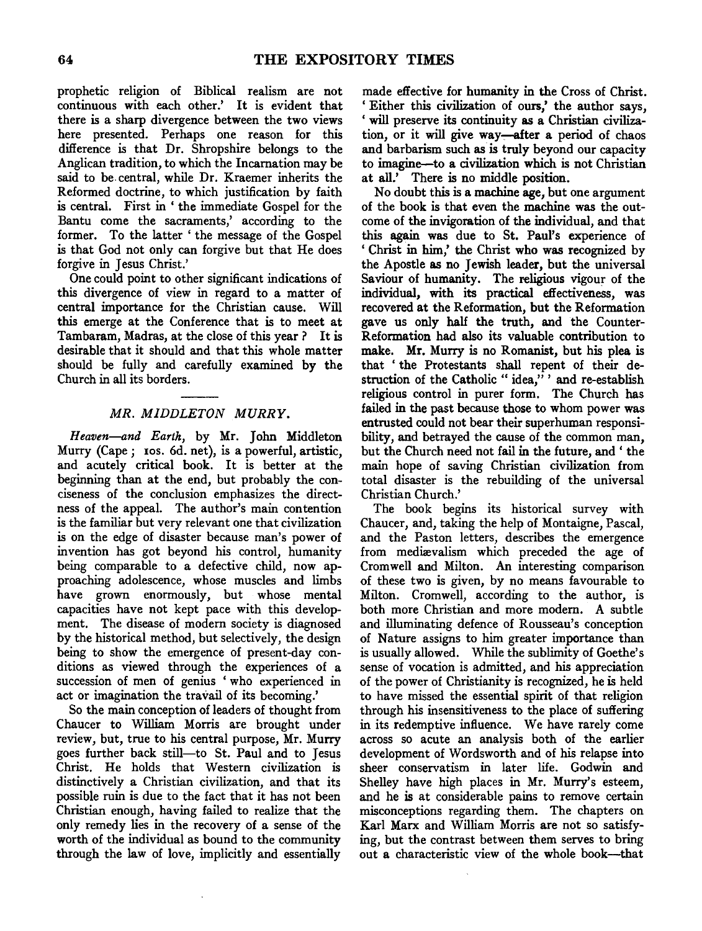prophetic religion of Biblical realism are not continuous with each other.' It is evident that there is a sharp divergence between the two views here presented. Perhaps one reason for this difference is that Dr. Shropshire belongs to the Anglican tradition, to which the Incarnation may be said to be.central, while Dr. Kraemer inherits the Reformed doctrine, to which justification by faith is central. First in ' the immediate Gospel for the Bantu come the sacraments,' according to the former. To the latter 'the message of the Gospel is that God not only can forgive but that He does forgive in Jesus Christ.'

One could point to other significant indications of this divergence of view in regard to a matter of central importance for the Christian cause. Will this emerge at the Conference that is to meet at Tambaram, Madras, at the close of this year? It is desirable that it should and that this whole matter should be fully and carefully examined by the Church in all its borders.

## *MR. MIDDLETON MURRY.*

*Heaven-and Earth,* by Mr. John Middleton Murry (Cape; Ios. 6d. net), is a powerful, artistic, and acutely critical book. It is better at the beginning than at the end, but probably the conciseness of the conclusion emphasizes the directness of the appeal. The author's main contention is the familiar but very relevant one that civilization is on the edge of disaster because man's power of invention has got beyond his control, humanity being comparable to a defective child, now approaching adolescence, whose muscles and limbs have grown enormously, but whose mental capacities have not kept pace with this development. The disease of modern society is diagnosed by the historical method, but selectively, the design being to show the emergence of present-day conditions as viewed through the experiences of a succession of men of genius ' who experienced in act or imagination the travail of its becoming.'

So the main conception of leaders of thought from Chaucer to William Morris are brought under review, but, true to his central purpose, Mr. Murry goes further back still-to St. Paul and to Jesus Christ. He holds that Western civilization is distinctively a Christian civilization, and that its possible ruin is due to the fact that it has not been Christian enough, having failed to realize that the only remedy lies in the recovery of a sense of the worth of the individual as bound to the community through the law of love, implicitly and essentially

made effective for humanity in the Cross of Christ. ' Either this civilization of ours,' the author says, ' will preserve its continuity as a Christian civilization, or it will give way—after a period of chaos and barbarism such as is truly beyond our capacity to imagine-to a civilization which is not Christian at all.' There is no middle position.

No doubt this is a machine age, but one argument of the book is that even the machine was the outcome of the invigoration of the individual, and that this again was due to St. Paul's experience of ' Christ in him,' the Christ who was recognized by the Apostle as no Jewish leader, but the universal Saviour of humanity. The religious vigour of the individual, with its practical effectiveness, was recovered at the Reformation, but the Reformation gave us only half the truth, and the Counter-Reformation had also its valuable contribution to make. Mr. Murry is no Romanist, but his plea is that ' the Protestants shall repent of their destruction of the Catholic " idea," ' and re-establish religious control in purer form. The Church has failed in the past because those to whom power was entrusted could not bear their superhuman responsibility, and betrayed the cause of the common man, but the Church need not fail in the future, and ' the main hope of saving Christian civilization from total disaster is the rebuilding of the universal Christian Church.'

The book begins its historical survey with Chaucer, and, taking the help of Montaigne, Pascal, and the Paston letters, describes the emergence from mediævalism which preceded the age of Cromwell and Milton. An interesting comparison of these two is given, by no means favourable to Milton. Cromwell, according to the author, is both more Christian and more modern. A subtle and illuminating defence of Rousseau's conception of Nature assigns to him greater importance than is usually allowed. While the sublimity of Goethe's sense of vocation is admitted, and his appreciation of the power of Christianity is recognized, he is held to have missed the essential spirit of that religion through his insensitiveness to the place of suffering in its redemptive influence. We have rarely come across so acute an analysis both of the earlier development of Wordsworth and of his relapse into sheer conservatism in later life. Godwin and Shelley have high places in Mr. Murry's esteem, and he is at considerable pains to remove certain misconceptions regarding them. The chapters on Karl Marx and William Morris are not so satisfying, but the contrast between them serves to bring out a characteristic view of the whole book-that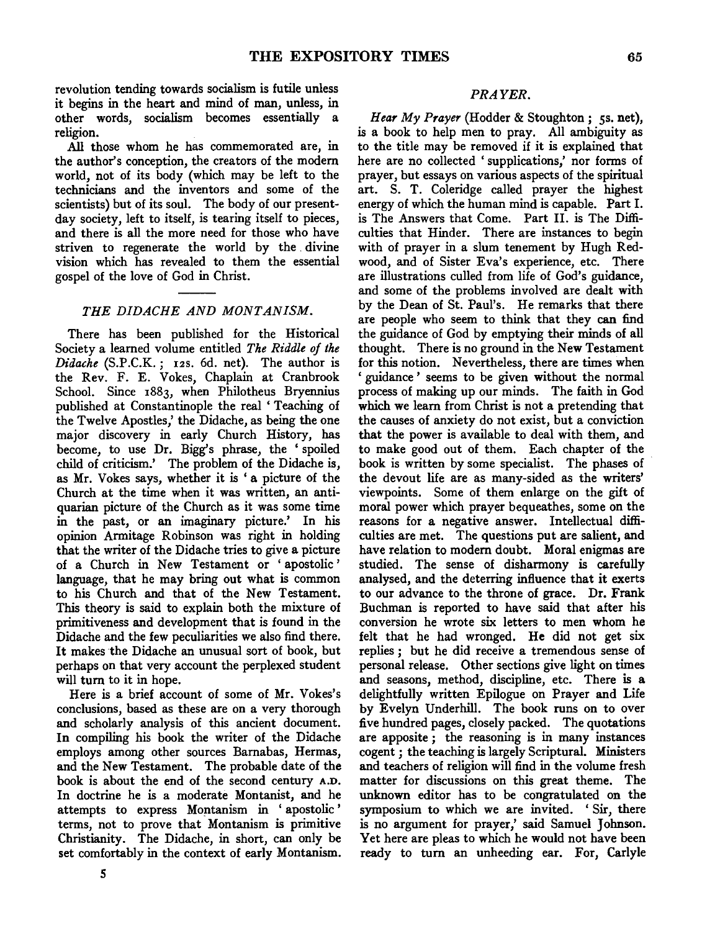revolution tending towards socialism is futile unless it begins in the heart and mind of man, unless, in other words, socialism becomes essentially a religion.

All those whom he has commemorated are, in the author's conception, the creators of the modem world, not of its body (which may be left to the technicians and the inventors and some of the scientists) but of its soul. The body of our presentday society, left to itself, is tearing itself to pieces, and there is all the more need for those who have striven to regenerate the world by the . divine vision which has revealed to them the essential gospel of the love of God in Christ.

#### *THE DIDACHE AND MONTANISM.*

There has been published for the Historical Society a learned volume entitled *The Riddle of the Didache* (S.P.C.K.; 12s. 6d. net). The author is the Rev. F. E. Vokes, Chaplain at Cranbrook School. Since 1883, when Philotheus Bryennius published at Constantinople the real ' Teaching of the Twelve Apostles,' the Didache, as being the one major discovery in early Church History, has become, to use Dr. Bigg's phrase, the ' spoiled child of criticism.' The problem of the Didache is, as Mr. Vokes says, whether it is 'a picture of the Church at the time when it was written, an antiquarian picture of the Church as it was some time in the past, or an imaginary picture.' In his opinion Armitage Robinson was right in holding that the writer of the Didache tries to give a picture of a Church in New Testament or 'apostolic' language, that he may bring out what is common to his Church and that of the New Testament. This theory is said to explain both the mixture of primitiveness and development that is found in the Didache and the few peculiarities we also find there. It makes the Didache an unusual sort of book, but perhaps on that very account the perplexed student will turn to it in hope.

Here is a brief account of some of Mr. Yokes's conclusions, based as these are on a very thorough and scholarly analysis of this ancient document. In compiling his book the writer of the Didache employs among other sources Bamabas, Hermas, and the New Testament. The probable date of the book is about the end of the second century A.D. In doctrine he is a moderate Montanist, and he attempts to express Montanism in ' apostolic ' terms, not to prove that Montanism is primitive Christianity. The Didache, in short, can only be set comfortably in the context of early Montanism.

# *PRAYER.*

Hear My Prayer (Hodder & Stoughton; 5s. net), is a book to help men to pray. All ambiguity as to the title may be removed if it is explained that here are no collected ' supplications,' nor forms of prayer, but essays on various aspects of the spiritual art. S. T. Coleridge called prayer the highest energy of which the human mind is capable. Part I. is The Answers that Come. Part 11. is The Difficulties that Hinder. There are instances to begin with of prayer in a slum tenement by Hugh Redwood, and of Sister Eva's experience, etc. There are illustrations culled from life of God's guidance, and some of the problems involved are dealt with by the Dean of St. Paul's. He remarks that there are people who seem to think that they can find the guidance of God by emptying their minds of all thought. There is no ground in the New Testament for this notion. Nevertheless, there are times when ' guidance ' seems to be given without the normal process of making up our minds. The faith in God which we learn from Christ is not a pretending that the causes of anxiety do not exist, but a conviction that the power is available to deal with them, and to make good out of them. Each chapter of the book is written by some specialist. The phases of the devout life are as many-sided as the writers' viewpoints. Some of them enlarge on the gift of moral power which prayer bequeathes, some on the reasons for a negative answer. Intellectual difficulties are met. The questions put are salient, and have relation to modem doubt. Moral enigmas are studied. The sense of disharmony is carefully analysed, and the deterring influence that it exerts to our advance to the throne of grace. Dr. Frank Buchman is reported to have said that after his conversion he wrote six letters to men whom he felt that he had wronged. He did not get six replies ; but he did receive a tremendous sense of personal release. Other sections give light on times and seasons, method, discipline, etc. There is a delightfully written Epilogue on Prayer and Life by Evelyn Underhill. The book runs on to over five hundred pages, closely packed. The quotations are apposite ; the reasoning is in many instances cogent ; the teaching is largely Scriptural. Ministers and teachers of religion will find in the volume fresh matter for discussions on this great theme. The unknown editor has to be congratulated on the symposium to which we are invited. 'Sir, there is no argument for prayer,' said Samuel Johnson. Yet here are pleas to which he would not have been ready to turn an unheeding ear. For, Carlyle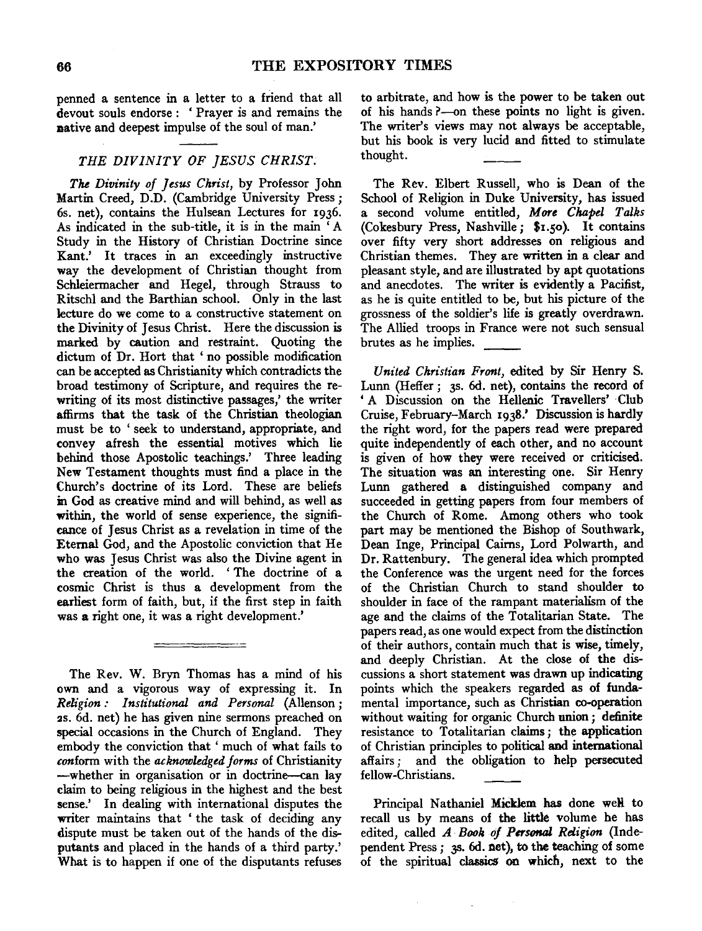penned a sentence in a letter to a friend that all devout souls endorse: 'Prayer is and remains the native and deepest impulse of the soul of man.'

## *THE DIVINITY OF JESUS CHRIST.*

*The Divinity of Jesus Christ,* by Professor John Martin Creed, D.D. (Cambridge University Press; 6s. net), contains the Hulsean Lectures for 1936. As indicated in the sub-title, it is in the main ' A Study in the History of Christian Doctrine since Kant.' It traces in an exceedingly instructive way the development of Christian thought from Schleiermacher and Hegel, through Strauss to Ritschl and the Barthian school. Only in the last lecture do we come to a constructive statement on the Divinity of Jesus Christ. Here the discussion is marked by caution and restraint. Quoting the dictum of Dr. Hort that ' no possible modification can be accepted as Christianity which contradicts the broad testimony of Scripture, and requires the rewriting of its most distinctive passages,' the writer affirms that the task of the Christian theologian must be to 'seek to understand, appropriate, and convey afresh the essential motives which lie behind those Apostolic teachings.' Three leading New Testament thoughts must find a place in the Church's doctrine of its Lord. These are beliefs in God as creative mind and will behind, as well as within, the world of sense experience, the significance of Jesus Christ as a revelation in time of the Eternal God, and the Apostolic conviction that He who was Jesus Christ was also the Divine agent in the creation of the world. ' The doctrine of a cosmic Christ is thus a development from the earliest form of faith, but, if the first step in faith was a right one, it was a right development.'

The Rev. W. Bryn Thomas has a mind of his own and a vigorous way of expressing it. In *Religion: Institutional and Personal* (Allenson; 2s. 6d. net) he has given nine sermons preached on special occasions in the Church of England. They embody the conviction that ' much of what fails to *conform* with the *acknowledged forms* of Christianity -whether in organisation or in doctrine-can lay claim to being religious in the highest and the best sense.' In dealing with international disputes the writer maintains that 'the task of deciding any dispute must be taken out of the hands of the dis- putants and placed in the hands of a third party.' What is to happen if one of the disputants refuses

<u> 2001 - 2001 - 2002 - 2003 - 20</u>

to arbitrate, and how is the power to be taken out of his hands?-on these points no light is given. The writer's views may not always be acceptable, but his book is very lucid and fitted to stimulate thought.

The Rev. Elbert Russell, who is Dean of the School of Religion in Duke University, has issued a second volume entitled, *More Chapel Talks*  (Cokesbury Press, Nashville; \$1.50). It contains over fifty very short addresses on religious and Christian themes. They are written in a clear and pleasant style, and are illustrated by apt quotations and anecdotes. The writer is evidently a Pacifist, as he is quite entitled to be, but his picture of the grossness of the soldier's life is greatly overdrawn. The Allied troops in France were not such sensual<br>brutes as he implies.

*United Christian Front,* edited by Sir Henry S. Lunn (Heffer; 3s. 6d. net), contains the record of 'A Discussion on the Hellenic Travellers' Club Cruise, February-March 1938.' Discussion is hardly the right word, for the papers read were prepared quite independently of each other, and no account is given of how they were received or criticised. The situation was an interesting one. Sir Henry Lunn gathered a distinguished company and succeeded in getting papers from four members of the Church of Rome. Among others who took part may be mentioned the Bishop of Southwark, Dean Inge, Principal Cairns, Lord Polwarth, and Dr. Rattenbury. The general idea which prompted the Conference was the urgent need for the forces of the Christian Church to stand shoulder to shoulder in face of the rampant materialism of the age and the claims of the Totalitarian State. The papers read, as one would expect from the distinction of their authors, contain much that is wise, timely, and deeply Christian. At the close of the discussions a short statement was drawn up indicating points which the speakers regarded as of fundamental importance, such as Christian co-operation without waiting for organic Church union; definite resistance to Totalitarian claims; the application of Christian principles to political and international affairs ; and the obligation to help persecuted fellow-Christians.

Principal Nathaniel Micklem has done well to recall us by means of the little volume he has edited, called *A Book of Personal Religion* (Independent Press; 35. 6d. net), to the teaching of some of the spiritual classics on which, next to the

 $\mathcal{L}$